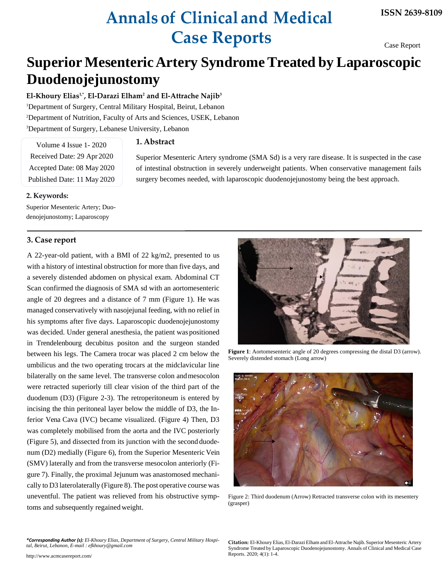# **Annals of Clinical and Medical Case Reports**

Case Report

## **Superior MesentericArtery Syndrome Treated by Laparoscopic Duodenojejunostomy**

**El-Khoury Elias1,\* , El-Darazi Elham<sup>2</sup> and El-Attrache Najib 3** Department of Surgery, Central Military Hospital, Beirut, Lebanon Department of Nutrition, Faculty of Arts and Sciences, USEK, Lebanon Department of Surgery, Lebanese University, Lebanon

#### **1. Abstract**

Volume 4 Issue 1- 2020 Received Date: 29 Apr 2020 Accepted Date: 08 May 2020 Published Date: 11 May 2020

Superior Mesenteric Artery syndrome (SMA Sd) is a very rare disease. It is suspected in the case of intestinal obstruction in severely underweight patients. When conservative management fails surgery becomes needed, with laparoscopic duodenojejunostomy being the best approach.

#### **2. Keywords:**

Superior Mesenteric Artery; Duodenojejunostomy; Laparoscopy

### **3. Case report**

A 22-year-old patient, with a BMI of 22 kg/m2, presented to us with a history of intestinal obstruction for more than five days, and a severely distended abdomen on physical exam. Abdominal CT Scan confirmed the diagnosis of SMA sd with an aortomesenteric angle of 20 degrees and a distance of 7 mm (Figure 1). He was managed conservatively with nasojejunal feeding, with no relief in his symptoms after five days. Laparoscopic duodenojejunostomy was decided. Under general anesthesia, the patient was positioned in Trendelenbourg decubitus positon and the surgeon standed between his legs. The Camera trocar was placed 2 cm below the umbilicus and the two operating trocars at the midclavicular line bilaterally on the same level. The transverse colon andmesocolon were retracted superiorly till clear vision of the third part of the duodenum (D3) (Figure 2-3). The retroperitoneum is entered by incising the thin peritoneal layer below the middle of D3, the Inferior Vena Cava (IVC) became visualized. (Figure 4) Then, D3 was completely mobilised from the aorta and the IVC posteriorly (Figure 5), and dissected from its junction with the second duodenum (D2) medially (Figure 6), from the Superior Mesenteric Vein (SMV) laterally and from the transverse mesocolon anteriorly (Figure 7). Finally, the proximal Jejunum was anastomosed mechanically to D3 laterolaterally (Figure 8). The post operative course was uneventful. The patient was relieved from his obstructive symptoms and subsequently regained weight.

**Figure 1**: Aortomesenteric angle of 20 degrees compressing the distal D3 (arrow). Severely distended stomach (Long arrow)



Figure 2: Third duodenum (Arrow) Retracted transverse colon with its mesentery (grasper)

*\*Corresponding Author (s): El-Khoury Elias, Department of Surgery, Central Military Hospital, Beirut, Lebanon[, E-mail : efkhoury@gmail.com](mailto:efkhoury@gmail.com)*

<http://www.acmcasereport.com/>

**Citation:** El-Khoury Elias, El-Darazi Elham and El-Attrache Najib.Superior Mesenteric Artery Syndrome Treated by Laparoscopic Duodenojejunostomy. Annals of Clinical and Medical Case Reports. 2020; 4(1): 1-4.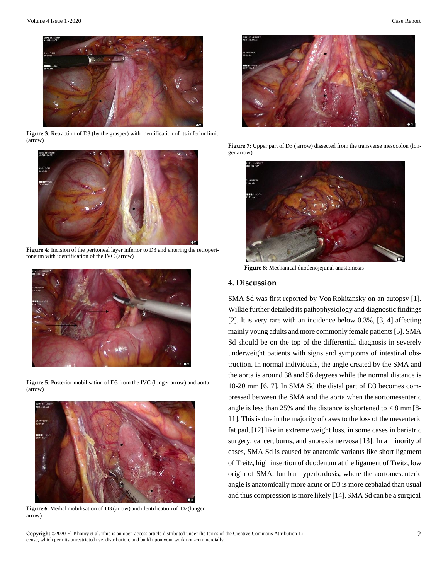

**Figure 3**: Retraction of D3 (by the grasper) with identification of its inferior limit (arrow)



**Figure 4**: Incision of the peritoneal layer inferior to D3 and entering the retroperitoneum with identification of the IVC (arrow)



**Figure 5**: Posterior mobilisation of D3 from the IVC (longer arrow) and aorta (arrow)



**Figure 6**: Medial mobilisation of D3 (arrow) and identification of D2(longer arrow)



**Figure 7:** Upper part of D3 ( arrow) dissected from the transverse mesocolon (longer arrow)



 **Figure 8**: Mechanical duodenojejunal anastomosis

#### **4. Discussion**

SMA Sd was first reported by Von Rokitansky on an autopsy [1]. Wilkie further detailed its pathophysiology and diagnostic findings [2]. It is very rare with an incidence below 0.3%, [3, 4] affecting mainly young adults and more commonly female patients[5]. SMA Sd should be on the top of the differential diagnosis in severely underweight patients with signs and symptoms of intestinal obstruction. In normal individuals, the angle created by the SMA and the aorta is around 38 and 56 degrees while the normal distance is 10-20 mm [6, 7]. In SMA Sd the distal part of D3 becomes compressed between the SMA and the aorta when the aortomesenteric angle is less than 25% and the distance is shortened to  $\lt 8$  mm [8-11]. Thisis due in the majority of casesto the loss of the mesenteric fat pad,[12] like in extreme weight loss, in some cases in bariatric surgery, cancer, burns, and anorexia nervosa [13]. In a minority of cases, SMA Sd is caused by anatomic variants like short ligament of Treitz, high insertion of duodenum at the ligament of Treitz, low origin of SMA, lumbar hyperlordosis, where the aortomesenteric angle is anatomically more acute or D3 is more cephalad than usual and thus compression is more likely [14].SMA Sd can be a surgical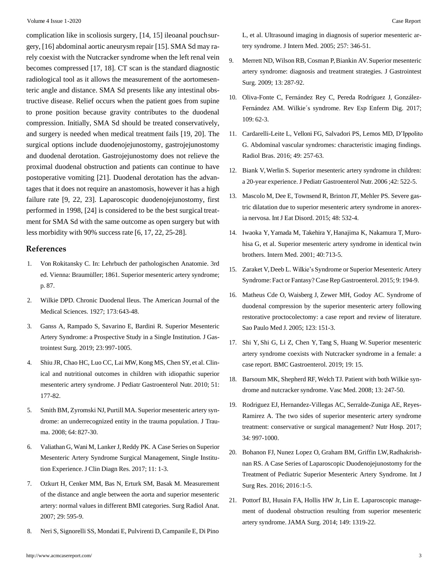complication like in scoliosis surgery, [14, 15] ileoanal pouchsurgery, [16] abdominal aortic aneurysm repair [15]. SMA Sd may rarely coexist with the Nutcracker syndrome when the left renal vein becomes compressed [17, 18]. CT scan is the standard diagnostic radiological tool as it allows the measurement of the aortomesenteric angle and distance. SMA Sd presents like any intestinal obstructive disease. Relief occurs when the patient goes from supine to prone position because gravity contributes to the duodenal compression. Initially, SMA Sd should be treated conservatively, and surgery is needed when medical treatment fails [19, 20]. The surgical options include duodenojejunostomy, gastrojejunostomy and duodenal derotation. Gastrojejunostomy does not relieve the proximal duodenal obstruction and patients can continue to have postoperative vomiting [21]. Duodenal derotation has the advantages that it does not require an anastomosis, however it has a high failure rate [9, 22, 23]. Laparoscopic duodenojejunostomy, first performed in 1998, [24] is considered to be the best surgical treatment for SMA Sd with the same outcome as open surgery but with less morbidity with 90% success rate [6, 17, 22, 25-28].

#### **References**

- 1. Von Rokitansky C. In: Lehrbuch der pathologischen Anatomie. 3rd ed. Vienna: Braumüller; 1861. Superior mesenteric artery syndrome; p. 87.
- 2. Wilkie DPD. Chronic Duodenal Ileus. The American Journal of the Medical Sciences. 1927; 173:643-48.
- 3. [Ganss A, Rampado S, Savarino E, Bardini R. Superior Mesenteric](https://pubmed.ncbi.nlm.nih.gov/30291587/) Artery Syndrome: a Prospective Study in a Single Institution. J Gas[trointest Surg. 2019; 23:997-1005.](https://pubmed.ncbi.nlm.nih.gov/30291587/)
- 4. Shiu JR, Chao HC, Luo CC, Lai MW, [Kong](https://pubmed.ncbi.nlm.nih.gov/20601910/) MS, Chen SY, et al. Clinical and nutritional outcomes in children with idiopathic superio[r](https://pubmed.ncbi.nlm.nih.gov/20601910/) [mesenteric artery syndrome. J Pediatr Gastroenterol Nutr. 2010; 51:](https://pubmed.ncbi.nlm.nih.gov/20601910/) 177-82.
- 5. Smith BM, Zyromski NJ, Purtill MA. Superior [mesenteric](https://pubmed.ncbi.nlm.nih.gov/17308494/) artery syndrome: an underrecognized entity in the trauma population. J Trau[ma. 2008; 64:](https://pubmed.ncbi.nlm.nih.gov/17308494/) 827-30.
- 6. Valiathan G, Wani M, [LankerJ,Reddy](https://pubmed.ncbi.nlm.nih.gov/28969208/) PK. A Case Series on Superio[r](https://pubmed.ncbi.nlm.nih.gov/28969208/) Mesenteric Artery Syndrome Surgical Management, Single Institution [Experience.](https://pubmed.ncbi.nlm.nih.gov/28969208/) J Clin Diagn Res. 2017; 11: 1-3.
- 7. [Ozkurt H, Cenker MM, Bas N, Erturk SM, Basak M. Measurement](https://pubmed.ncbi.nlm.nih.gov/17646894/) of the distance and angle between the aorta and superior mesenteri[c](https://pubmed.ncbi.nlm.nih.gov/17646894/) artery: normal values in different BMI [categories.](https://pubmed.ncbi.nlm.nih.gov/17646894/) Surg Radiol Anat[.](https://pubmed.ncbi.nlm.nih.gov/17646894/) 2007; 29: 595-9.
- 8. Neri S, Signorelli SS, Mondati E, Pulvirenti D, [Campanile](https://pubmed.ncbi.nlm.nih.gov/15788004/) E, Di Pino

[L, et al. Ultrasound imaging in diagnosis of superior mesenteric ar](https://pubmed.ncbi.nlm.nih.gov/15788004/)[tery syndrome. J Intern Med. 2005; 257: 346-51.](https://pubmed.ncbi.nlm.nih.gov/15788004/)

- 9. Merrett ND, Wilson RB, Cosman P, Biankin [AV.Superior](https://pubmed.ncbi.nlm.nih.gov/18810558/) mesenteri[c](https://pubmed.ncbi.nlm.nih.gov/18810558/) artery syndrome: diagnosis and treatment strategies. J Gastrointes[t](https://pubmed.ncbi.nlm.nih.gov/18810558/) [Surg. 2009; 13:](https://pubmed.ncbi.nlm.nih.gov/18810558/) 287-92.
- 10. [Oliva-Fonte C, Fernández Rey C, Pereda Rodríguez J,](https://pubmed.ncbi.nlm.nih.gov/28100057/) [González-](https://pubmed.ncbi.nlm.nih.gov/28100057/)Fernández AM. Wilkie´s syndrome. Rev Esp Enferm Dig. [2017;](https://pubmed.ncbi.nlm.nih.gov/28100057/)  109: [62-3.](https://pubmed.ncbi.nlm.nih.gov/28100057/)
- 11. [Cardarelli-Leite L, Velloni FG, Salvadori PS, Lemos MD,](https://pubmed.ncbi.nlm.nih.gov/27777480/) D'Ippolito [G. Abdominal vascular syndromes: characteristic imaging findings.](https://pubmed.ncbi.nlm.nih.gov/27777480/) Radiol Bras. 2016; 49: 257-63.
- 12. [Biank V, Werlin S. Superior mesenteric artery syndrome in children:](https://pubmed.ncbi.nlm.nih.gov/16707974/) a 20-year experience. J Pediatr Gastroenterol Nutr. 2006 ;42: 522-5.
- 13. Mascolo M, Dee E, [Townsend](https://pubmed.ncbi.nlm.nih.gov/25639251/) R, Brinton JT, Mehler PS. Severe gastric dilatation due to superior mesenteric artery syndrome in anorexia [nervosa.](https://pubmed.ncbi.nlm.nih.gov/25639251/) Int J Eat Disord. 2015; 48: 532-4.
- 14. [Iwaoka Y, Yamada M, Takehira Y, Hanajima K, Nakamura T, Muro](https://pubmed.ncbi.nlm.nih.gov/11518108/)hisa G, et al. Superior mesenteric artery syndrome in identical twi[n](https://pubmed.ncbi.nlm.nih.gov/11518108/) [brothers. Intern Med. 2001; 40:713-5.](https://pubmed.ncbi.nlm.nih.gov/11518108/)
- 15. Zaraket V,Deeb L. Wilkie's Syndrome or Superior [Mesenteric](https://pubmed.ncbi.nlm.nih.gov/26120301/) Arter[y](https://pubmed.ncbi.nlm.nih.gov/26120301/) Syndrome: Fact or Fantasy? Case Rep Gastroenterol. 2015; 9: 194-9.
- 16. [Matheus Cde O, Waisberg J, Zewer MH, Godoy AC. Syndrome of](https://pubmed.ncbi.nlm.nih.gov/16021281/) duodenal compression by the superior mesenteric artery followin[g](https://pubmed.ncbi.nlm.nih.gov/16021281/) [restorative proctocolectomy: a case report and review of literature.](https://pubmed.ncbi.nlm.nih.gov/16021281/) Sao Paulo Med J. 2005; 123: 151-3.
- 17. [Shi Y, Shi G, Li Z, Chen Y, Tang S, Huang W. Superior mesenteric](https://bmcgastroenterol.biomedcentral.com/articles/10.1186/s12876-019-0932-1) artery syndrome coexists with Nutcracker syndrome in a female: [a](https://bmcgastroenterol.biomedcentral.com/articles/10.1186/s12876-019-0932-1) case report. BMC [Gastroenterol.](https://bmcgastroenterol.biomedcentral.com/articles/10.1186/s12876-019-0932-1) 2019; 19: 15.
- 18. Barsoum MK, [Shepherd](https://pubmed.ncbi.nlm.nih.gov/18687762/) RF, Welch TJ. Patient with both Wilkie syndrome and nutcracker syndrome. Vasc Med. 2008; 13: 247-50.
- 19. Rodriguez EJ, [Hernandez-Villegas](https://pubmed.ncbi.nlm.nih.gov/29095027/) AC, Serralde-Zuniga AE, Reyes[-](https://pubmed.ncbi.nlm.nih.gov/29095027/)Ramirez A. The two sides of superior mesenteric artery syndrom[e](https://pubmed.ncbi.nlm.nih.gov/29095027/) [treatment: conservative or surgical management? Nutr Hosp. 2017;](https://pubmed.ncbi.nlm.nih.gov/29095027/) 34: 997-1000.
- 20. [Bohanon FJ, Nunez Lopez O, Graham BM, Griffin LW, Radhakrish](https://pubmed.ncbi.nlm.nih.gov/27747293/)nan RS. A Case Series of Laparoscopic Duodenojejunostomy for th[e](https://pubmed.ncbi.nlm.nih.gov/27747293/) [Treatment of Pediatric Superior Mesenteric Artery Syndrome. Int J](https://pubmed.ncbi.nlm.nih.gov/27747293/) Surg Res. 2016; 2016:1-5.
- 21. [Pottorf BJ, Husain FA, Hollis HW Jr, Lin E. Laparoscopic manage](https://pubmed.ncbi.nlm.nih.gov/25353279/)ment of duodenal obstruction resulting from superior mesenteri[c](https://pubmed.ncbi.nlm.nih.gov/25353279/) artery [syndrome.](https://pubmed.ncbi.nlm.nih.gov/25353279/) JAMA Surg. 2014; 149: 1319-22.